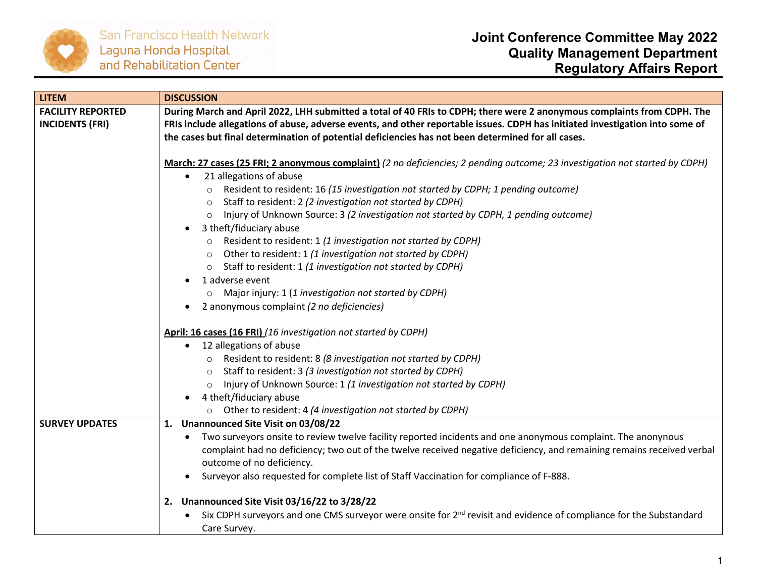

| <b>LITEM</b>                                       | <b>DISCUSSION</b>                                                                                                                                                                                                                                                                                                                                                                                                                                                                                                                                                                                                                                                                                                                                                                                                 |
|----------------------------------------------------|-------------------------------------------------------------------------------------------------------------------------------------------------------------------------------------------------------------------------------------------------------------------------------------------------------------------------------------------------------------------------------------------------------------------------------------------------------------------------------------------------------------------------------------------------------------------------------------------------------------------------------------------------------------------------------------------------------------------------------------------------------------------------------------------------------------------|
| <b>FACILITY REPORTED</b><br><b>INCIDENTS (FRI)</b> | During March and April 2022, LHH submitted a total of 40 FRIs to CDPH; there were 2 anonymous complaints from CDPH. The<br>FRIs include allegations of abuse, adverse events, and other reportable issues. CDPH has initiated investigation into some of<br>the cases but final determination of potential deficiencies has not been determined for all cases.                                                                                                                                                                                                                                                                                                                                                                                                                                                    |
|                                                    | March: 27 cases (25 FRI; 2 anonymous complaint) (2 no deficiencies; 2 pending outcome; 23 investigation not started by CDPH)<br>21 allegations of abuse<br>$\bullet$<br>o Resident to resident: 16 (15 investigation not started by CDPH; 1 pending outcome)<br>Staff to resident: 2 (2 investigation not started by CDPH)<br>$\circ$<br>Injury of Unknown Source: 3 (2 investigation not started by CDPH, 1 pending outcome)<br>$\circ$<br>3 theft/fiduciary abuse<br>Resident to resident: 1 (1 investigation not started by CDPH)<br>$\circ$<br>Other to resident: 1 (1 investigation not started by CDPH)<br>$\circ$<br>o Staff to resident: 1 (1 investigation not started by CDPH)<br>1 adverse event<br>Major injury: 1 (1 investigation not started by CDPH)<br>2 anonymous complaint (2 no deficiencies) |
|                                                    | April: 16 cases (16 FRI) (16 investigation not started by CDPH)<br>12 allegations of abuse<br>o Resident to resident: 8 (8 investigation not started by CDPH)<br>Staff to resident: 3 (3 investigation not started by CDPH)<br>$\circ$<br>Injury of Unknown Source: 1 (1 investigation not started by CDPH)<br>$\circ$<br>4 theft/fiduciary abuse<br>Other to resident: 4 (4 investigation not started by CDPH)                                                                                                                                                                                                                                                                                                                                                                                                   |
| <b>SURVEY UPDATES</b>                              | 1. Unannounced Site Visit on 03/08/22<br>Two surveyors onsite to review twelve facility reported incidents and one anonymous complaint. The anonynous<br>complaint had no deficiency; two out of the twelve received negative deficiency, and remaining remains received verbal<br>outcome of no deficiency.<br>Surveyor also requested for complete list of Staff Vaccination for compliance of F-888.<br>2. Unannounced Site Visit 03/16/22 to 3/28/22<br>Six CDPH surveyors and one CMS surveyor were onsite for 2 <sup>nd</sup> revisit and evidence of compliance for the Substandard                                                                                                                                                                                                                        |
|                                                    | Care Survey.                                                                                                                                                                                                                                                                                                                                                                                                                                                                                                                                                                                                                                                                                                                                                                                                      |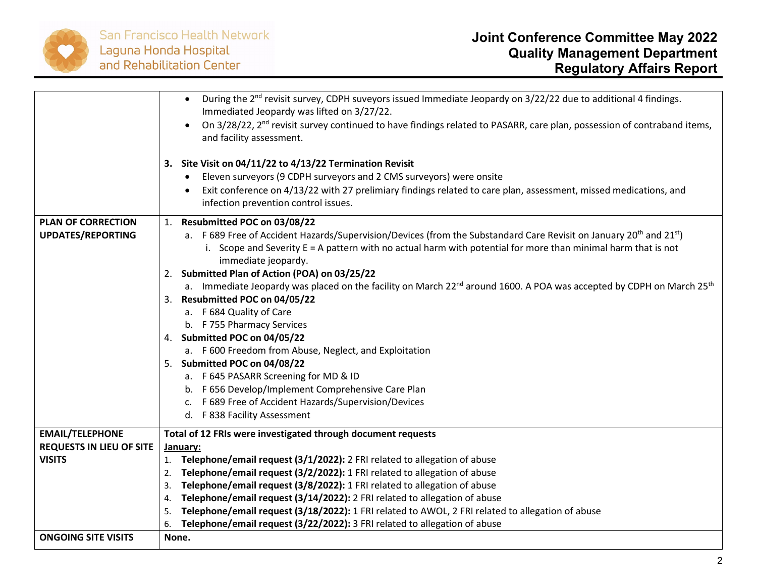

|                                 | During the 2 <sup>nd</sup> revisit survey, CDPH suveyors issued Immediate Jeopardy on 3/22/22 due to additional 4 findings.<br>Immediated Jeopardy was lifted on 3/27/22.<br>On 3/28/22, 2 <sup>nd</sup> revisit survey continued to have findings related to PASARR, care plan, possession of contraband items,<br>$\bullet$<br>and facility assessment. |
|---------------------------------|-----------------------------------------------------------------------------------------------------------------------------------------------------------------------------------------------------------------------------------------------------------------------------------------------------------------------------------------------------------|
|                                 | 3. Site Visit on 04/11/22 to 4/13/22 Termination Revisit<br>Eleven surveyors (9 CDPH surveyors and 2 CMS surveyors) were onsite<br>Exit conference on 4/13/22 with 27 prelimiary findings related to care plan, assessment, missed medications, and<br>infection prevention control issues.                                                               |
| <b>PLAN OF CORRECTION</b>       | 1. Resubmitted POC on 03/08/22                                                                                                                                                                                                                                                                                                                            |
| <b>UPDATES/REPORTING</b>        | a. F 689 Free of Accident Hazards/Supervision/Devices (from the Substandard Care Revisit on January 20 <sup>th</sup> and 21 <sup>st</sup> )<br>i. Scope and Severity $E = A$ pattern with no actual harm with potential for more than minimal harm that is not<br>immediate jeopardy.                                                                     |
|                                 | 2. Submitted Plan of Action (POA) on 03/25/22                                                                                                                                                                                                                                                                                                             |
|                                 | a. Immediate Jeopardy was placed on the facility on March 22 <sup>nd</sup> around 1600. A POA was accepted by CDPH on March 25 <sup>th</sup>                                                                                                                                                                                                              |
|                                 | 3. Resubmitted POC on 04/05/22                                                                                                                                                                                                                                                                                                                            |
|                                 | a. F 684 Quality of Care                                                                                                                                                                                                                                                                                                                                  |
|                                 | b. F 755 Pharmacy Services                                                                                                                                                                                                                                                                                                                                |
|                                 | 4. Submitted POC on 04/05/22                                                                                                                                                                                                                                                                                                                              |
|                                 | a. F 600 Freedom from Abuse, Neglect, and Exploitation                                                                                                                                                                                                                                                                                                    |
|                                 | 5. Submitted POC on 04/08/22                                                                                                                                                                                                                                                                                                                              |
|                                 | a. F 645 PASARR Screening for MD & ID                                                                                                                                                                                                                                                                                                                     |
|                                 | b. F 656 Develop/Implement Comprehensive Care Plan                                                                                                                                                                                                                                                                                                        |
|                                 | c. F 689 Free of Accident Hazards/Supervision/Devices                                                                                                                                                                                                                                                                                                     |
|                                 | d. F 838 Facility Assessment                                                                                                                                                                                                                                                                                                                              |
| <b>EMAIL/TELEPHONE</b>          | Total of 12 FRIs were investigated through document requests                                                                                                                                                                                                                                                                                              |
| <b>REQUESTS IN LIEU OF SITE</b> | January:                                                                                                                                                                                                                                                                                                                                                  |
| <b>VISITS</b>                   | 1. Telephone/email request (3/1/2022): 2 FRI related to allegation of abuse                                                                                                                                                                                                                                                                               |
|                                 | Telephone/email request (3/2/2022): 1 FRI related to allegation of abuse<br>2.                                                                                                                                                                                                                                                                            |
|                                 | Telephone/email request (3/8/2022): 1 FRI related to allegation of abuse<br>3.                                                                                                                                                                                                                                                                            |
|                                 | Telephone/email request (3/14/2022): 2 FRI related to allegation of abuse<br>4.                                                                                                                                                                                                                                                                           |
|                                 | Telephone/email request (3/18/2022): 1 FRI related to AWOL, 2 FRI related to allegation of abuse<br>5.                                                                                                                                                                                                                                                    |
|                                 | Telephone/email request (3/22/2022): 3 FRI related to allegation of abuse<br>6.                                                                                                                                                                                                                                                                           |
| <b>ONGOING SITE VISITS</b>      | None.                                                                                                                                                                                                                                                                                                                                                     |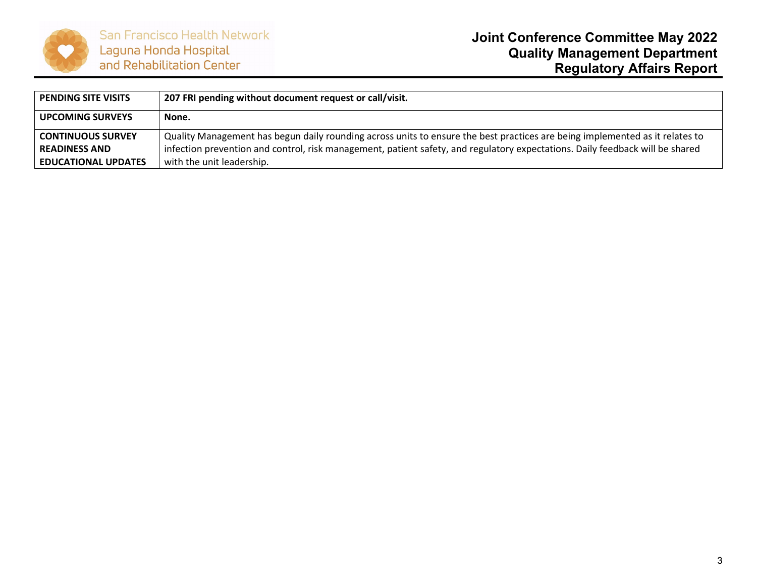

| <b>PENDING SITE VISITS</b> | 207 FRI pending without document request or call/visit.                                                                       |
|----------------------------|-------------------------------------------------------------------------------------------------------------------------------|
| <b>UPCOMING SURVEYS</b>    | None.                                                                                                                         |
| <b>CONTINUOUS SURVEY</b>   | Quality Management has begun daily rounding across units to ensure the best practices are being implemented as it relates to  |
| <b>READINESS AND</b>       | infection prevention and control, risk management, patient safety, and regulatory expectations. Daily feedback will be shared |
| <b>EDUCATIONAL UPDATES</b> | with the unit leadership.                                                                                                     |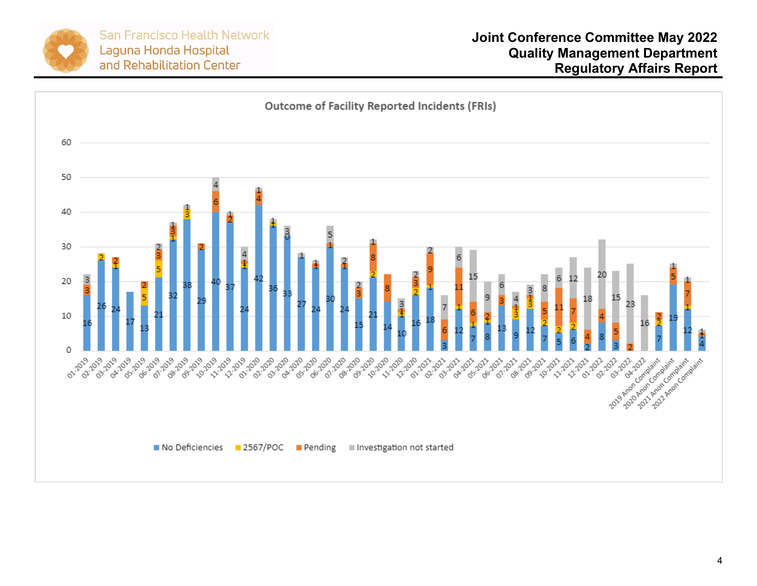